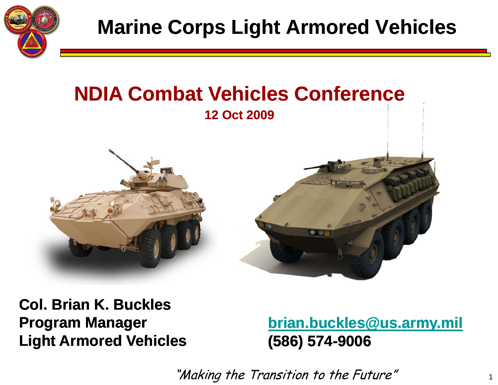

#### **NDIA Combat Vehicles Conference 12 Oct 2009**



**Col. Brian K. BucklesProgram Manager Li ht A d V hi l ght Armore Vehi cles**

**brian.buckles@us.army.mil (586) 574 9006 -9006**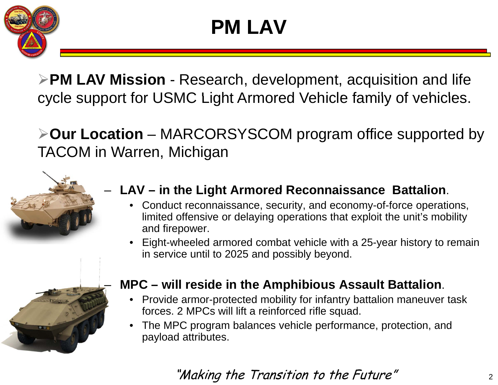

**PM LAV Mission** - Research, development, acquisition and life cycle support for USMC Light Armored Vehicle family of vehicles.

**Our Location** – MARCORSYSCOM program office supported by TACOM in Warren, Michigan



- **LAV – in the Light Armored Reconnaissance Battalion in Reconnaissance Battalion**.
	- Conduct reconnaissance, security, and economy-of-force operations, limited offensive or delaying operations that exploit the unit's mobility and firepower.
	- •Eight-wheeled armored combat vehicle with a 25-year history to remain in service until to 2025 and possibly beyond.



#### $\blacksquare$  MPC – will reside in the Amphibious Assault Battalion.

- $\bullet$  Provide armor-protected mobility for infantry battalion maneuver task forces. 2 MPCs will lift a reinforced rifle squad.
- $\bullet$  The MPC program balances vehicle performance, protection, and payload attributes.

#### "Making the Transition to the Future"  $\frac{1}{2}$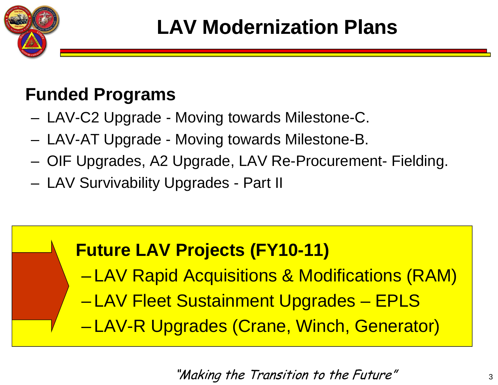

### **Funded Programs**

- and the state of the LAV-C2 Upgrade - Moving towards Milestone-C.
- LAV-AT Upgrade -- Moving towards Milestone-B.
- –OIF Upgrades, A2 Upgrade, LAV Re-Procurement- Fielding.
- **Links of the Common** LAV Survivability Upgrades - Part II

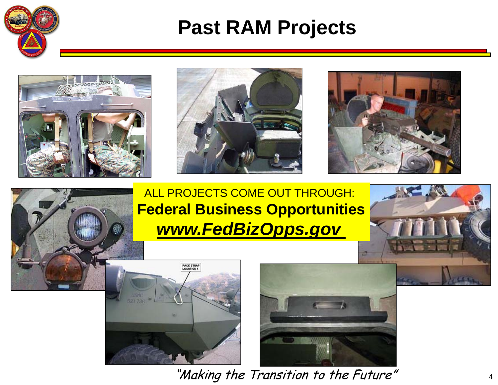

### **Past RAM Projects**









ALL PROJECTS COME OUT THROUGH: **Federal Business Opportunities** *www.FedBizOpps.gov*





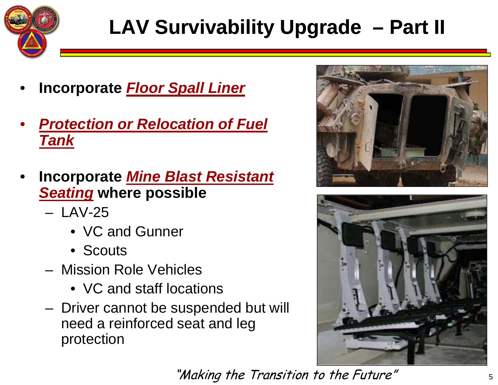

# **LAV Survivability Upgrade – Part II**

- •**Incorporate** *Floor Spall Liner*
- • *Protection or Relocation of Fuel Tank*
- • **Incorporate** *Mine Blast Resistant Seating* **where possible**
	- LAV-25
		- VC and Gunner
		- Scouts
	- Mission Role Vehicles
		- VC and staff locations
	- Driver cannot be suspended but will need a reinforced seat and leg protection



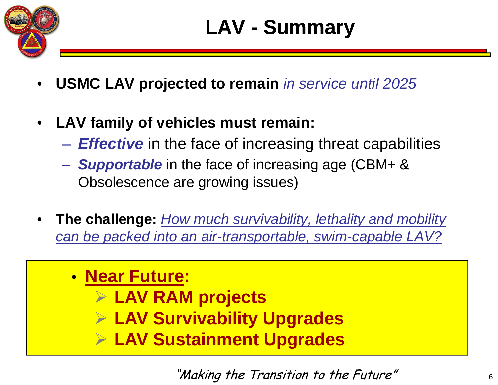

- •**USMC LAV projected to remain** *in service until 2025*
- $\bullet$  **LAV family of vehicles must remain:**
	- $\mathcal{L}_{\mathcal{A}}$  , and the set of the set of the set of the set of the set of the set of the set of the set of the set of the set of the set of the set of the set of the set of the set of the set of the set of the set of th *Effective* in the face of increasing threat capabilities
	- *Supportable* in the face of increasing age (CBM+ & Obsolescence are growing issues)
- • **The challenge:** *How much survivability, lethality and mobility*  can be packed into an air-transportable, swim-capable LAV?
	- **Near Future:**
		- **LAV RAM projects**
		- **LAV Survivability Upgrades**
		- **LAV Sustainment Upgrades**

"Making the Transition to the Future"  $6<sub>6</sub>$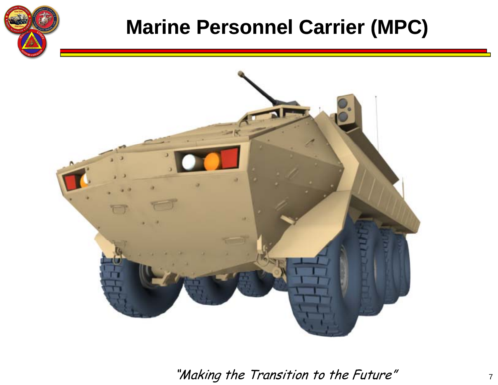

## **Marine Personnel Carrier (MPC)**

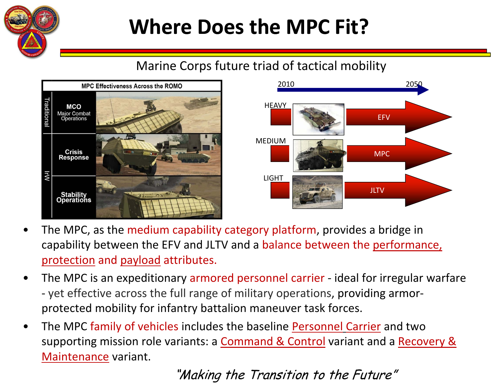

# **Where Does the MPC Fit?**

#### Marine Corps future triad of tactical mobility





- • The MPC, as the medium capability category platform, provides <sup>a</sup> bridge in capability between the EFV and JLTV and a balance between the performance, protection and payload attributes.
- • The MPC is an expeditionary armored personnel carrier ‐ ideal for irregular warfare ‐ yet effective across the full range of military operations, providing armor‐ protected mobility for infantry battalion maneuver task forces.
- •The MPC family of vehicles includes the baseline <u>Personnel Carrier</u> and two supporting mission role variants: a Command & Control variant and a Recovery & Maintenance variant.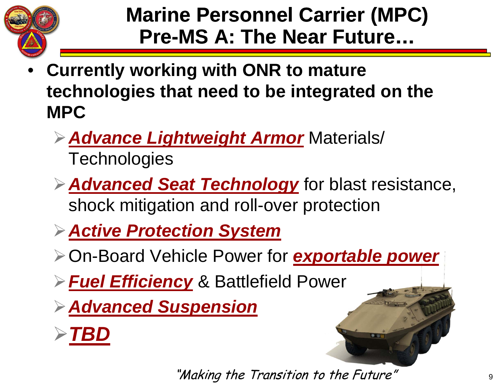

## **Marine Personnel Carrier (MPC) Pre-MS A: The Near Future...**

- **Currently working with ONR to mature technologies that need to be integrated on the MPC**
	- **Advance Lightweight Armor** Materials/ **Technologies**
	- *Advanced Seat Technology* for blast resistance, shock mitigation and roll-over protection
	- *Active Protection System*
	- On-Board Vehicle Power for *exportable power*
	- *Fuel Efficiency* & Battlefield Powe r
	- *Advanced Suspension*

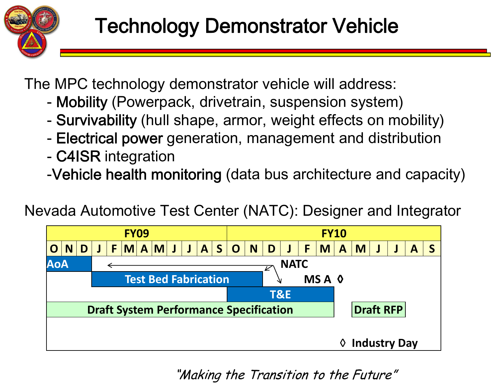

The MPC technology demonstrator vehicle will address:

- -Mobility (Powerpack, drivetrain, suspension system )
- -- Survivability (hull shape, armor, weight effects on mobility)
- Electrical power generation, management and distribution
- C4ISR integration
- -Vehicle health monitoring (data bus architecture and capacity)

Nevada Automotive Test Center (NATC): Designer and Integrator